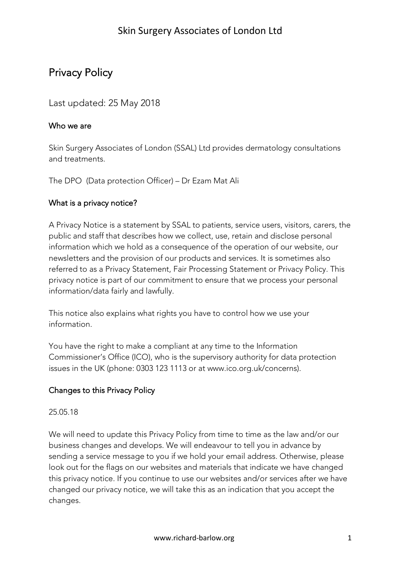# Privacy Policy

### Last updated: 25 May 2018

#### Who we are

Skin Surgery Associates of London (SSAL) Ltd provides dermatology consultations and treatments.

The DPO (Data protection Officer) – Dr Ezam Mat Ali

#### What is a privacy notice?

A Privacy Notice is a statement by SSAL to patients, service users, visitors, carers, the public and staff that describes how we collect, use, retain and disclose personal information which we hold as a consequence of the operation of our website, our newsletters and the provision of our products and services. It is sometimes also referred to as a Privacy Statement, Fair Processing Statement or Privacy Policy. This privacy notice is part of our commitment to ensure that we process your personal information/data fairly and lawfully.

This notice also explains what rights you have to control how we use your information.

You have the right to make a compliant at any time to the Information Commissioner's Office (ICO), who is the supervisory authority for data protection issues in the UK (phone: 0303 123 1113 or at www.ico.org.uk/concerns).

#### Changes to this Privacy Policy

#### 25.05.18

We will need to update this Privacy Policy from time to time as the law and/or our business changes and develops. We will endeavour to tell you in advance by sending a service message to you if we hold your email address. Otherwise, please look out for the flags on our websites and materials that indicate we have changed this privacy notice. If you continue to use our websites and/or services after we have changed our privacy notice, we will take this as an indication that you accept the changes.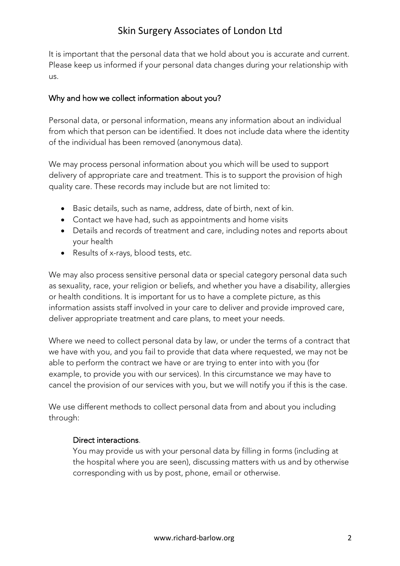It is important that the personal data that we hold about you is accurate and current. Please keep us informed if your personal data changes during your relationship with us.

#### Why and how we collect information about you?

Personal data, or personal information, means any information about an individual from which that person can be identified. It does not include data where the identity of the individual has been removed (anonymous data).

We may process personal information about you which will be used to support delivery of appropriate care and treatment. This is to support the provision of high quality care. These records may include but are not limited to:

- Basic details, such as name, address, date of birth, next of kin.
- Contact we have had, such as appointments and home visits
- Details and records of treatment and care, including notes and reports about your health
- Results of x-rays, blood tests, etc.

We may also process sensitive personal data or special category personal data such as sexuality, race, your religion or beliefs, and whether you have a disability, allergies or health conditions. It is important for us to have a complete picture, as this information assists staff involved in your care to deliver and provide improved care, deliver appropriate treatment and care plans, to meet your needs.

Where we need to collect personal data by law, or under the terms of a contract that we have with you, and you fail to provide that data where requested, we may not be able to perform the contract we have or are trying to enter into with you (for example, to provide you with our services). In this circumstance we may have to cancel the provision of our services with you, but we will notify you if this is the case.

We use different methods to collect personal data from and about you including through:

#### Direct interactions.

You may provide us with your personal data by filling in forms (including at the hospital where you are seen), discussing matters with us and by otherwise corresponding with us by post, phone, email or otherwise.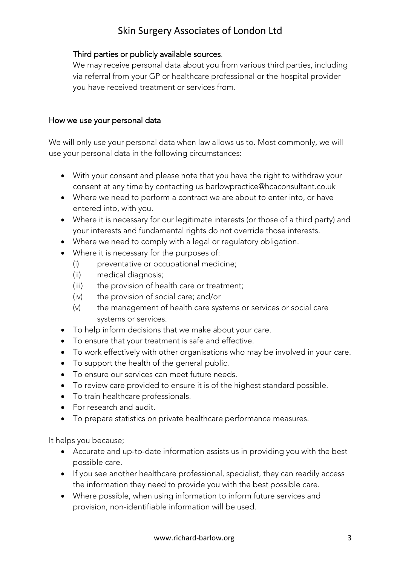#### Third parties or publicly available sources.

We may receive personal data about you from various third parties, including via referral from your GP or healthcare professional or the hospital provider you have received treatment or services from.

#### How we use your personal data

We will only use your personal data when law allows us to. Most commonly, we will use your personal data in the following circumstances:

- With your consent and please note that you have the right to withdraw your consent at any time by contacting us barlowpractice@hcaconsultant.co.uk
- Where we need to perform a contract we are about to enter into, or have entered into, with you.
- Where it is necessary for our legitimate interests (or those of a third party) and your interests and fundamental rights do not override those interests.
- Where we need to comply with a legal or regulatory obligation.
- Where it is necessary for the purposes of:
	- (i) preventative or occupational medicine;
	- (ii) medical diagnosis;
	- (iii) the provision of health care or treatment;
	- (iv) the provision of social care; and/or
	- (v) the management of health care systems or services or social care systems or services.
- To help inform decisions that we make about your care.
- To ensure that your treatment is safe and effective.
- To work effectively with other organisations who may be involved in your care.
- To support the health of the general public.
- To ensure our services can meet future needs.
- To review care provided to ensure it is of the highest standard possible.
- To train healthcare professionals.
- For research and audit.
- To prepare statistics on private healthcare performance measures.

It helps you because;

- Accurate and up-to-date information assists us in providing you with the best possible care.
- If you see another healthcare professional, specialist, they can readily access the information they need to provide you with the best possible care.
- Where possible, when using information to inform future services and provision, non-identifiable information will be used.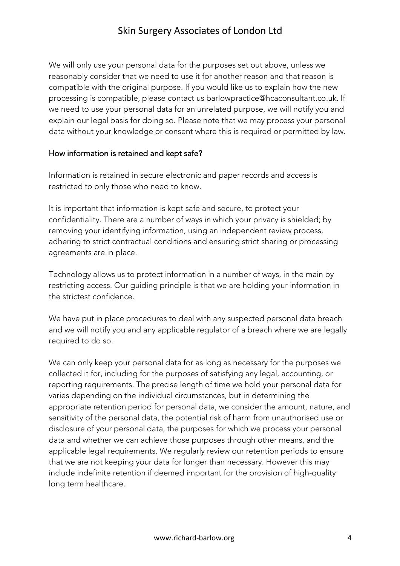We will only use your personal data for the purposes set out above, unless we reasonably consider that we need to use it for another reason and that reason is compatible with the original purpose. If you would like us to explain how the new processing is compatible, please contact us barlowpractice@hcaconsultant.co.uk. If we need to use your personal data for an unrelated purpose, we will notify you and explain our legal basis for doing so. Please note that we may process your personal data without your knowledge or consent where this is required or permitted by law.

#### How information is retained and kept safe?

Information is retained in secure electronic and paper records and access is restricted to only those who need to know.

It is important that information is kept safe and secure, to protect your confidentiality. There are a number of ways in which your privacy is shielded; by removing your identifying information, using an independent review process, adhering to strict contractual conditions and ensuring strict sharing or processing agreements are in place.

Technology allows us to protect information in a number of ways, in the main by restricting access. Our guiding principle is that we are holding your information in the strictest confidence.

We have put in place procedures to deal with any suspected personal data breach and we will notify you and any applicable regulator of a breach where we are legally required to do so.

We can only keep your personal data for as long as necessary for the purposes we collected it for, including for the purposes of satisfying any legal, accounting, or reporting requirements. The precise length of time we hold your personal data for varies depending on the individual circumstances, but in determining the appropriate retention period for personal data, we consider the amount, nature, and sensitivity of the personal data, the potential risk of harm from unauthorised use or disclosure of your personal data, the purposes for which we process your personal data and whether we can achieve those purposes through other means, and the applicable legal requirements. We regularly review our retention periods to ensure that we are not keeping your data for longer than necessary. However this may include indefinite retention if deemed important for the provision of high-quality long term healthcare.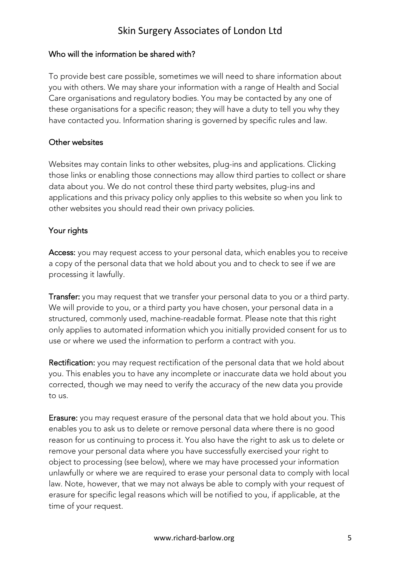#### Who will the information be shared with?

To provide best care possible, sometimes we will need to share information about you with others. We may share your information with a range of Health and Social Care organisations and regulatory bodies. You may be contacted by any one of these organisations for a specific reason; they will have a duty to tell you why they have contacted you. Information sharing is governed by specific rules and law.

#### Other websites

Websites may contain links to other websites, plug-ins and applications. Clicking those links or enabling those connections may allow third parties to collect or share data about you. We do not control these third party websites, plug-ins and applications and this privacy policy only applies to this website so when you link to other websites you should read their own privacy policies.

#### Your rights

Access: you may request access to your personal data, which enables you to receive a copy of the personal data that we hold about you and to check to see if we are processing it lawfully.

Transfer: you may request that we transfer your personal data to you or a third party. We will provide to you, or a third party you have chosen, your personal data in a structured, commonly used, machine-readable format. Please note that this right only applies to automated information which you initially provided consent for us to use or where we used the information to perform a contract with you.

Rectification: you may request rectification of the personal data that we hold about you. This enables you to have any incomplete or inaccurate data we hold about you corrected, though we may need to verify the accuracy of the new data you provide to us.

Erasure: you may request erasure of the personal data that we hold about you. This enables you to ask us to delete or remove personal data where there is no good reason for us continuing to process it. You also have the right to ask us to delete or remove your personal data where you have successfully exercised your right to object to processing (see below), where we may have processed your information unlawfully or where we are required to erase your personal data to comply with local law. Note, however, that we may not always be able to comply with your request of erasure for specific legal reasons which will be notified to you, if applicable, at the time of your request.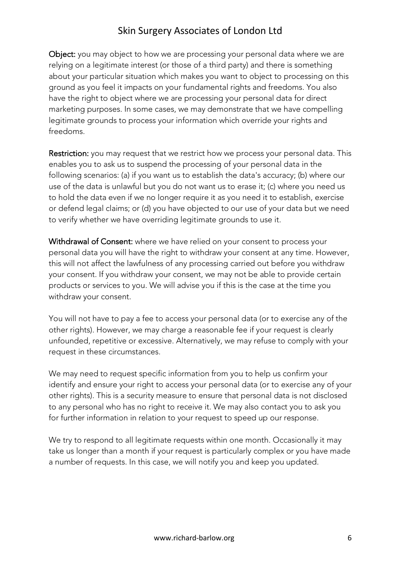Object: you may object to how we are processing your personal data where we are relying on a legitimate interest (or those of a third party) and there is something about your particular situation which makes you want to object to processing on this ground as you feel it impacts on your fundamental rights and freedoms. You also have the right to object where we are processing your personal data for direct marketing purposes. In some cases, we may demonstrate that we have compelling legitimate grounds to process your information which override your rights and freedoms.

Restriction: you may request that we restrict how we process your personal data. This enables you to ask us to suspend the processing of your personal data in the following scenarios: (a) if you want us to establish the data's accuracy; (b) where our use of the data is unlawful but you do not want us to erase it; (c) where you need us to hold the data even if we no longer require it as you need it to establish, exercise or defend legal claims; or (d) you have objected to our use of your data but we need to verify whether we have overriding legitimate grounds to use it.

Withdrawal of Consent: where we have relied on your consent to process your personal data you will have the right to withdraw your consent at any time. However, this will not affect the lawfulness of any processing carried out before you withdraw your consent. If you withdraw your consent, we may not be able to provide certain products or services to you. We will advise you if this is the case at the time you withdraw your consent.

You will not have to pay a fee to access your personal data (or to exercise any of the other rights). However, we may charge a reasonable fee if your request is clearly unfounded, repetitive or excessive. Alternatively, we may refuse to comply with your request in these circumstances.

We may need to request specific information from you to help us confirm your identify and ensure your right to access your personal data (or to exercise any of your other rights). This is a security measure to ensure that personal data is not disclosed to any personal who has no right to receive it. We may also contact you to ask you for further information in relation to your request to speed up our response.

We try to respond to all legitimate requests within one month. Occasionally it may take us longer than a month if your request is particularly complex or you have made a number of requests. In this case, we will notify you and keep you updated.